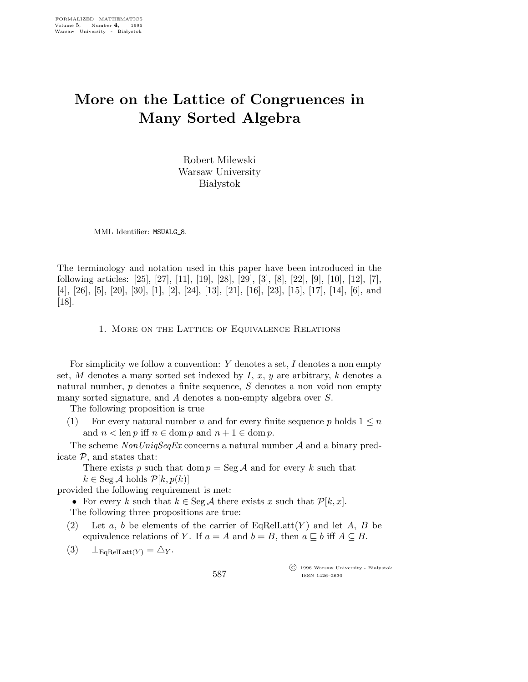# More on the Lattice of Congruences in Many Sorted Algebra

Robert Milewski Warsaw University **Białystok** 

MML Identifier: MSUALG\_8.

The terminology and notation used in this paper have been introduced in the following articles: [25], [27], [11], [19], [28], [29], [3], [8], [22], [9], [10], [12], [7], [4], [26], [5], [20], [30], [1], [2], [24], [13], [21], [16], [23], [15], [17], [14], [6], and [18].

## 1. More on the Lattice of Equivalence Relations

For simplicity we follow a convention:  $Y$  denotes a set,  $I$  denotes a non empty set, M denotes a many sorted set indexed by I, x, y are arbitrary, k denotes a natural number, p denotes a finite sequence, S denotes a non void non empty many sorted signature, and A denotes a non-empty algebra over S.

The following proposition is true

(1) For every natural number n and for every finite sequence p holds  $1 \leq n$ and  $n < \text{len } p$  iff  $n \in \text{dom } p$  and  $n + 1 \in \text{dom } p$ .

The scheme  $NonUnigSeqEx$  concerns a natural number A and a binary predicate  $P$ , and states that:

There exists p such that dom  $p = \text{Seg } A$  and for every k such that  $k \in \text{Seg } \mathcal{A}$  holds  $\mathcal{P}[k, p(k)]$ 

provided the following requirement is met:

• For every k such that  $k \in \text{Seg } \mathcal{A}$  there exists x such that  $\mathcal{P}[k, x]$ . The following three propositions are true:

(2) Let a, b be elements of the carrier of  $EqRelLatt(Y)$  and let A, B be equivalence relations of Y. If  $a = A$  and  $b = B$ , then  $a \subseteq b$  iff  $A \subseteq B$ .

587

(3)  $\perp_{\text{EoRelLatt}(Y)} = \triangle_Y$ .

 $\overline{\text{C}}$  1996 Warsaw University - Białystok ISSN 1426–2630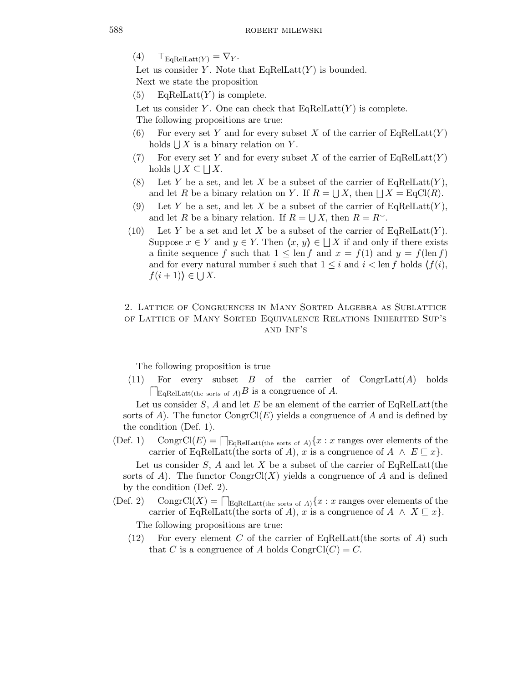$(4)$   $\top_{\text{EqRelLatt}(Y)} = \nabla_Y.$ 

Let us consider Y. Note that  $EqRelLatt(Y)$  is bounded. Next we state the proposition

(5) EqRelLatt $(Y)$  is complete.

Let us consider Y. One can check that  $EqRelLat(Y)$  is complete.

The following propositions are true:

- (6) For every set Y and for every subset X of the carrier of  $EqRelLatt(Y)$ holds  $\bigcup X$  is a binary relation on Y.
- (7) For every set Y and for every subset X of the carrier of  $EqRelLatt(Y)$ holds  $\bigcup X \subseteq \bigsqcup X$ .
- (8) Let Y be a set, and let X be a subset of the carrier of  $EqRelLatt(Y)$ , and let R be a binary relation on Y. If  $R = \bigcup X$ , then  $\bigcup X = \text{EqCl}(R)$ .
- (9) Let Y be a set, and let X be a subset of the carrier of  $EqRelLatt(Y)$ , and let R be a binary relation. If  $R = \bigcup X$ , then  $R = R^{\sim}$ .
- (10) Let Y be a set and let X be a subset of the carrier of  $EqRelLatt(Y)$ . Suppose  $x \in Y$  and  $y \in Y$ . Then  $\langle x, y \rangle \in \Box X$  if and only if there exists a finite sequence f such that  $1 \leq \text{len } f$  and  $x = f(1)$  and  $y = f(\text{len } f)$ and for every natural number i such that  $1 \leq i$  and  $i < \text{len } f$  holds  $\langle f(i), \rangle$  $f(i+1)$  $\in \bigcup X$ .

## 2. Lattice of Congruences in Many Sorted Algebra as Sublattice of Lattice of Many Sorted Equivalence Relations Inherited Sup's and Inf's

The following proposition is true

(11) For every subset  $B$  of the carrier of CongrLatt $(A)$  holds  $\Box$ EqRelLatt(the sorts of A)B is a congruence of A.

Let us consider  $S$ , A and let E be an element of the carrier of EqRelLatt(the sorts of A). The functor  $\text{CongrCl}(E)$  yields a congruence of A and is defined by the condition (Def. 1).

(Def. 1) CongrCl(E) =  $\bigcap_{E \in \text{RelLatt}(\text{the sorts of }A)} \{x : x \text{ ranges over elements of the } \}$ carrier of EqRelLatt(the sorts of A), x is a congruence of  $A \wedge E \sqsubseteq x$ .

Let us consider S, A and let X be a subset of the carrier of EqRelLatt(the sorts of A). The functor  $\text{CongrCl}(X)$  yields a congruence of A and is defined by the condition (Def. 2).

(Def. 2) CongrCl(X) =  $\bigcap_{E \in \text{RelLatt(the sorts of }A} \{x : x \text{ ranges over elements of the } \}$ carrier of EqRelLatt(the sorts of A), x is a congruence of  $A \wedge X \sqsubseteq x$ .

The following propositions are true:

(12) For every element C of the carrier of EqRelLatt (the sorts of A) such that C is a congruence of A holds CongrCl( $C$ ) = C.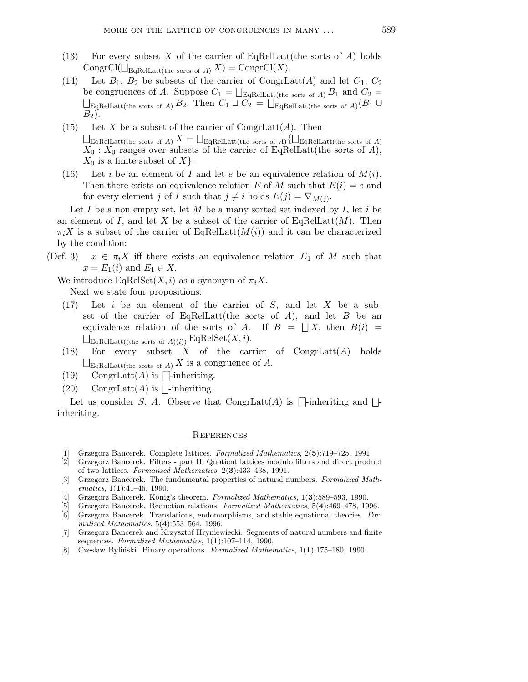- (13) For every subset X of the carrier of EqRelLatt(the sorts of  $A$ ) holds CongrCl( $\bigcup_{\text{EqReLU}(\text{the sorts of }A)} X$ ) = CongrCl(X).
- (14) Let  $B_1$ ,  $B_2$  be subsets of the carrier of CongrLatt(A) and let  $C_1$ ,  $C_2$ be congruences of A. Suppose  $C_1 = \bigsqcup_{\text{Eq} \text{RelLatt}(\text{the sorts of }A)} B_1$  and  $C_2 =$  $\bigsqcup_{\text{Eq} \text{RelLatt}(\text{the sorts of }A)} B_2. \text{ Then } C_1 \sqcup C_2 = \bigsqcup_{\text{Eq} \text{RelLatt}(\text{the sorts of }A)} (B_1 \cup B_2)$  $B_2$ ).
- (15) Let X be a subset of the carrier of  $\text{CongrLatt}(A)$ . Then  $\bigsqcup_{\text{EqRe}\text{ReLU}(\text{the sorts of }A)} X = \bigsqcup_{\text{EqRe}\text{Latt}(\text{the sorts of }A)} \{\bigsqcup_{\text{EqRe}\text{Latt}(\text{the sorts of }A)}\}$  $X_0$ :  $X_0$  ranges over subsets of the carrier of EqRelLatt(the sorts of A),  $X_0$  is a finite subset of X.
- (16) Let i be an element of I and let e be an equivalence relation of  $M(i)$ . Then there exists an equivalence relation E of M such that  $E(i) = e$  and for every element j of I such that  $j \neq i$  holds  $E(j) = \nabla_{M(j)}$ .

Let  $I$  be a non empty set, let  $M$  be a many sorted set indexed by  $I$ , let  $i$  be an element of I, and let X be a subset of the carrier of EqRelLatt $(M)$ . Then  $\pi_i X$  is a subset of the carrier of EqRelLatt $(M(i))$  and it can be characterized by the condition:

(Def. 3)  $x \in \pi_i X$  iff there exists an equivalence relation  $E_1$  of M such that  $x = E_1(i)$  and  $E_1 \in X$ .

We introduce  $EqRelSet(X, i)$  as a synonym of  $\pi_i X$ . Next we state four propositions:

- $(17)$  Let i be an element of the carrier of S, and let X be a subset of the carrier of EqRelLatt(the sorts of A), and let  $B$  be an equivalence relation of the sorts of A. If  $B = \bigsqcup X$ , then  $B(i) =$  $\bigsqcup_{\text{EqRelLatt}((\text{the sorts of }A)(i))} \text{EqRelSet}(X,i).$
- (18) For every subset  $X$  of the carrier of CongrLatt $(A)$  holds  $\sqcup_{\text{Eq} \text{RelLatt}(\text{the sorts of }A)} X$  is a congruence of A.
- (19) CongrLatt $(A)$  is  $\Box$ -inheriting.
- (20) CongrLatt(A) is  $\Box$ -inheriting.

Let us consider S, A. Observe that CongrLatt(A) is  $\Box$ -inheriting and  $\Box$ inheriting.

### **REFERENCES**

- Grzegorz Bancerek. Complete lattices. Formalized Mathematics, 2(5):719-725, 1991.
- [2] Grzegorz Bancerek. Filters part II. Quotient lattices modulo filters and direct product of two lattices. Formalized Mathematics, 2(3):433–438, 1991.
- [3] Grzegorz Bancerek. The fundamental properties of natural numbers. Formalized Mathematics, 1(1):41-46, 1990.
- [4] Grzegorz Bancerek. König's theorem. Formalized Mathematics, 1(3):589–593, 1990.
- [5] Grzegorz Bancerek. Reduction relations. Formalized Mathematics, 5(4):469–478, 1996.
- [6] Grzegorz Bancerek. Translations, endomorphisms, and stable equational theories. Formalized Mathematics, 5(4):553–564, 1996.
- [7] Grzegorz Bancerek and Krzysztof Hryniewiecki. Segments of natural numbers and finite sequences. Formalized Mathematics,  $1(1):107-114$ , 1990.
- [8] Czesław Byliński. Binary operations. Formalized Mathematics,  $1(1):175-180$ , 1990.